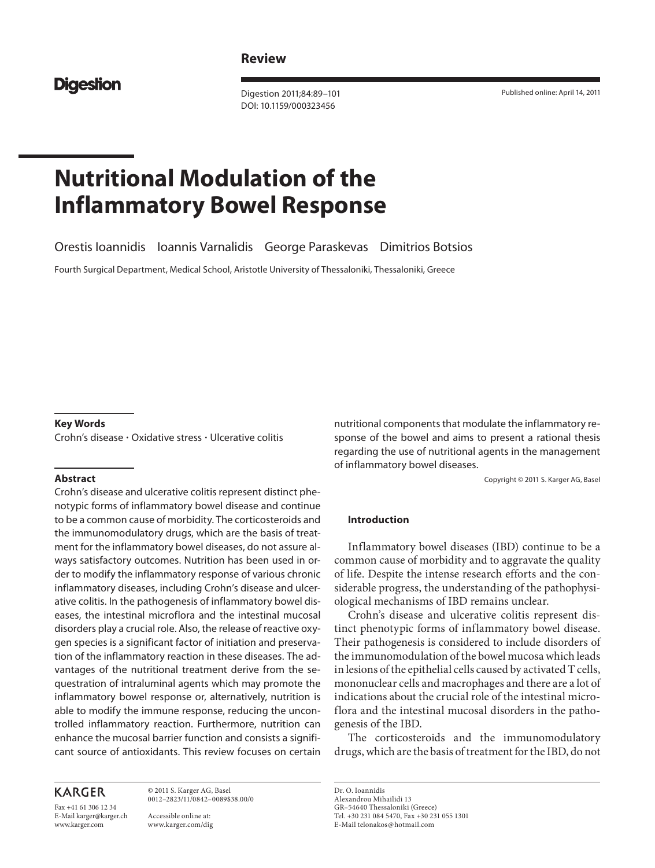# **Review**

**Digestion** 

 Digestion 2011;84:89–101 DOI: 10.1159/000323456

Published online: April 14, 2011

# **Nutritional Modulation of the Inflammatory Bowel Response**

Orestis Ioannidis Ioannis Varnalidis George Paraskevas Dimitrios Botsios

Fourth Surgical Department, Medical School, Aristotle University of Thessaloniki, Thessaloniki, Greece

#### **Key Words**

Crohn's disease - Oxidative stress - Ulcerative colitis

#### **Abstract**

 Crohn's disease and ulcerative colitis represent distinct phenotypic forms of inflammatory bowel disease and continue to be a common cause of morbidity. The corticosteroids and the immunomodulatory drugs, which are the basis of treatment for the inflammatory bowel diseases, do not assure always satisfactory outcomes. Nutrition has been used in order to modify the inflammatory response of various chronic inflammatory diseases, including Crohn's disease and ulcerative colitis. In the pathogenesis of inflammatory bowel diseases, the intestinal microflora and the intestinal mucosal disorders play a crucial role. Also, the release of reactive oxygen species is a significant factor of initiation and preservation of the inflammatory reaction in these diseases. The advantages of the nutritional treatment derive from the sequestration of intraluminal agents which may promote the inflammatory bowel response or, alternatively, nutrition is able to modify the immune response, reducing the uncontrolled inflammatory reaction. Furthermore, nutrition can enhance the mucosal barrier function and consists a significant source of antioxidants. This review focuses on certain

# **KARGER**

Fax +41 61 306 12 34 E-Mail karger@karger.ch www.karger.com

 © 2011 S. Karger AG, Basel 0012–2823/11/0842–0089\$38.00/0

 Accessible online at: www.karger.com/dig nutritional components that modulate the inflammatory response of the bowel and aims to present a rational thesis regarding the use of nutritional agents in the management of inflammatory bowel diseases.

Copyright © 2011 S. Karger AG, Basel

#### **Introduction**

 Inflammatory bowel diseases (IBD) continue to be a common cause of morbidity and to aggravate the quality of life. Despite the intense research efforts and the considerable progress, the understanding of the pathophysiological mechanisms of IBD remains unclear.

 Crohn's disease and ulcerative colitis represent distinct phenotypic forms of inflammatory bowel disease. Their pathogenesis is considered to include disorders of the immunomodulation of the bowel mucosa which leads in lesions of the epithelial cells caused by activated T cells, mononuclear cells and macrophages and there are a lot of indications about the crucial role of the intestinal microflora and the intestinal mucosal disorders in the pathogenesis of the IBD.

 The corticosteroids and the immunomodulatory drugs, which are the basis of treatment for the IBD, do not

 Dr. O. Ioannidis Alexandrou Mihailidi 13 GR–54640 Thessaloniki (Greece) Tel. +30 231 084 5470, Fax +30 231 055 1301 E-Mail telonakos @ hotmail.com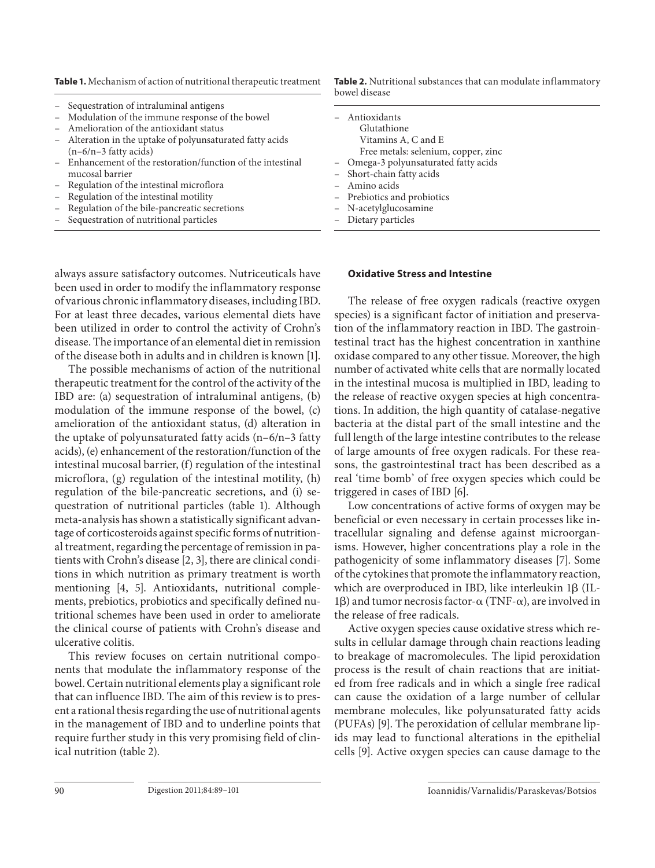Table 1. Mechanism of action of nutritional therapeutic treatment

- Sequestration of intraluminal antigens
- Modulation of the immune response of the bowel
- Amelioration of the antioxidant status
- Alteration in the uptake of polyunsaturated fatty acids (n–6/n–3 fatty acids)
- Enhancement of the restoration/function of the intestinal mucosal barrier
- Regulation of the intestinal microflora
- Regulation of the intestinal motility
- Regulation of the bile-pancreatic secretions
- Sequestration of nutritional particles

Table 2. Nutritional substances that can modulate inflammatory bowel disease

| - Antioxidants                        |
|---------------------------------------|
| Glutathione                           |
| Vitamins A, C and E                   |
| Free metals: selenium, copper, zinc   |
| - Omega-3 polyunsaturated fatty acids |
| - Short-chain fatty acids             |
| - Amino acids                         |
| - Prebiotics and probiotics           |
| - N-acetylglucosamine                 |
| - Dietary particles                   |
|                                       |

# always assure satisfactory outcomes. Nutriceuticals have been used in order to modify the inflammatory response of various chronic inflammatory diseases, including IBD. For at least three decades, various elemental diets have been utilized in order to control the activity of Crohn's disease. The importance of an elemental diet in remission of the disease both in adults and in children is known [1] .

 The possible mechanisms of action of the nutritional therapeutic treatment for the control of the activity of the IBD are: (a) sequestration of intraluminal antigens, (b) modulation of the immune response of the bowel, (c) amelioration of the antioxidant status, (d) alteration in the uptake of polyunsaturated fatty acids (n–6/n–3 fatty acids), (e) enhancement of the restoration/function of the intestinal mucosal barrier, (f) regulation of the intestinal microflora, (g) regulation of the intestinal motility, (h) regulation of the bile-pancreatic secretions, and (i) sequestration of nutritional particles (table 1). Although meta-analysis has shown a statistically significant advantage of corticosteroids against specific forms of nutritional treatment, regarding the percentage of remission in patients with Crohn's disease [2, 3], there are clinical conditions in which nutrition as primary treatment is worth mentioning [4, 5]. Antioxidants, nutritional complements, prebiotics, probiotics and specifically defined nutritional schemes have been used in order to ameliorate the clinical course of patients with Crohn's disease and ulcerative colitis.

 This review focuses on certain nutritional components that modulate the inflammatory response of the bowel. Certain nutritional elements play a significant role that can influence IBD. The aim of this review is to present a rational thesis regarding the use of nutritional agents in the management of IBD and to underline points that require further study in this very promising field of clinical nutrition (table 2).

#### **Oxidative Stress and Intestine**

 The release of free oxygen radicals (reactive oxygen species) is a significant factor of initiation and preservation of the inflammatory reaction in IBD. The gastrointestinal tract has the highest concentration in xanthine oxidase compared to any other tissue. Moreover, the high number of activated white cells that are normally located in the intestinal mucosa is multiplied in IBD, leading to the release of reactive oxygen species at high concentrations. In addition, the high quantity of catalase-negative bacteria at the distal part of the small intestine and the full length of the large intestine contributes to the release of large amounts of free oxygen radicals. For these reasons, the gastrointestinal tract has been described as a real 'time bomb' of free oxygen species which could be triggered in cases of IBD [6].

 Low concentrations of active forms of oxygen may be beneficial or even necessary in certain processes like intracellular signaling and defense against microorganisms. However, higher concentrations play a role in the pathogenicity of some inflammatory diseases [7]. Some of the cytokines that promote the inflammatory reaction, which are overproduced in IBD, like interleukin  $1\beta$  (IL-1 $\beta$ ) and tumor necrosis factor- $\alpha$  (TNF- $\alpha$ ), are involved in the release of free radicals.

 Active oxygen species cause oxidative stress which results in cellular damage through chain reactions leading to breakage of macromolecules. The lipid peroxidation process is the result of chain reactions that are initiated from free radicals and in which a single free radical can cause the oxidation of a large number of cellular membrane molecules, like polyunsaturated fatty acids (PUFAs) [9]. The peroxidation of cellular membrane lipids may lead to functional alterations in the epithelial cells [9]. Active oxygen species can cause damage to the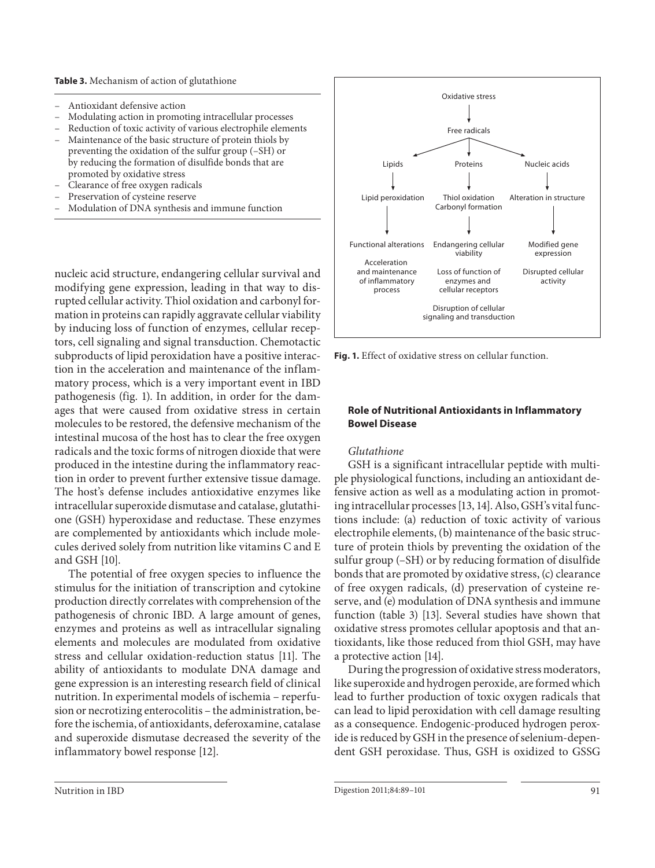Table 3. Mechanism of action of glutathione

- Antioxidant defensive action
- Modulating action in promoting intracellular processes
- Reduction of toxic activity of various electrophile elements
- Maintenance of the basic structure of protein thiols by preventing the oxidation of the sulfur group (–SH) or by reducing the formation of disulfide bonds that are promoted by oxidative stress
- Clearance of free oxygen radicals
- Preservation of cysteine reserve
- Modulation of DNA synthesis and immune function

nucleic acid structure, endangering cellular survival and modifying gene expression, leading in that way to disrupted cellular activity. Thiol oxidation and carbonyl formation in proteins can rapidly aggravate cellular viability by inducing loss of function of enzymes, cellular receptors, cell signaling and signal transduction. Chemotactic subproducts of lipid peroxidation have a positive interaction in the acceleration and maintenance of the inflammatory process, which is a very important event in IBD pathogenesis (fig. 1). In addition, in order for the damages that were caused from oxidative stress in certain molecules to be restored, the defensive mechanism of the intestinal mucosa of the host has to clear the free oxygen radicals and the toxic forms of nitrogen dioxide that were produced in the intestine during the inflammatory reaction in order to prevent further extensive tissue damage. The host's defense includes antioxidative enzymes like intracellular superoxide dismutase and catalase, glutathione (GSH) hyperoxidase and reductase. These enzymes are complemented by antioxidants which include molecules derived solely from nutrition like vitamins C and E and GSH [10].

 The potential of free oxygen species to influence the stimulus for the initiation of transcription and cytokine production directly correlates with comprehension of the pathogenesis of chronic IBD. A large amount of genes, enzymes and proteins as well as intracellular signaling elements and molecules are modulated from oxidative stress and cellular oxidation-reduction status [11]. The ability of antioxidants to modulate DNA damage and gene expression is an interesting research field of clinical nutrition. In experimental models of ischemia – reperfusion or necrotizing enterocolitis – the administration, before the ischemia, of antioxidants, deferoxamine, catalase and superoxide dismutase decreased the severity of the inflammatory bowel response [12] .



**Fig. 1.** Effect of oxidative stress on cellular function.

### **Role of Nutritional Antioxidants in Inflammatory Bowel Disease**

#### *Glutathione*

 GSH is a significant intracellular peptide with multiple physiological functions, including an antioxidant defensive action as well as a modulating action in promoting intracellular processes [13, 14] . Also, GSH's vital functions include: (a) reduction of toxic activity of various electrophile elements, (b) maintenance of the basic structure of protein thiols by preventing the oxidation of the sulfur group (–SH) or by reducing formation of disulfide bonds that are promoted by oxidative stress, (c) clearance of free oxygen radicals, (d) preservation of cysteine reserve, and (e) modulation of DNA synthesis and immune function (table 3) [13]. Several studies have shown that oxidative stress promotes cellular apoptosis and that antioxidants, like those reduced from thiol GSH, may have a protective action [14].

 During the progression of oxidative stress moderators, like superoxide and hydrogen peroxide, are formed which lead to further production of toxic oxygen radicals that can lead to lipid peroxidation with cell damage resulting as a consequence. Endogenic-produced hydrogen peroxide is reduced by GSH in the presence of selenium-dependent GSH peroxidase. Thus, GSH is oxidized to GSSG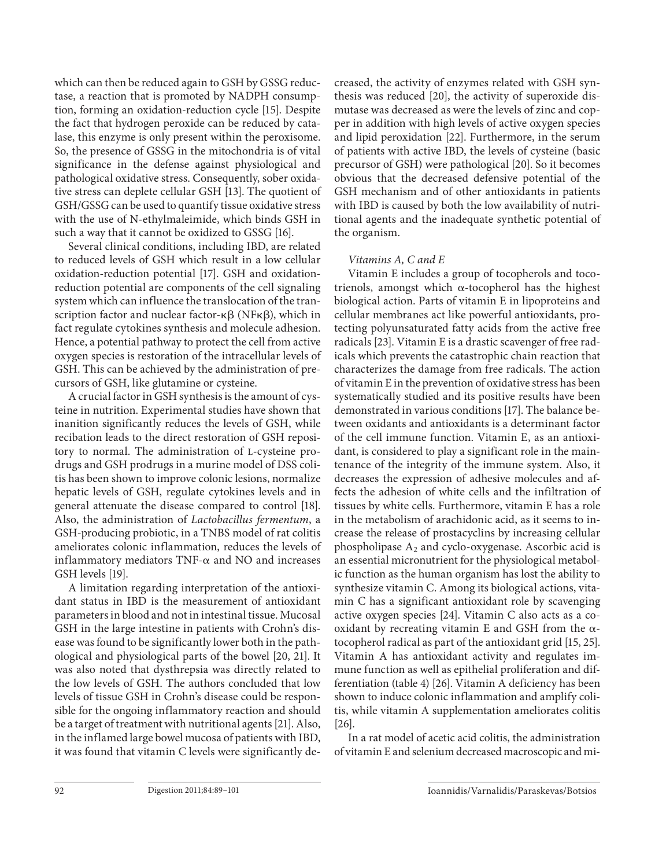which can then be reduced again to GSH by GSSG reductase, a reaction that is promoted by NADPH consumption, forming an oxidation-reduction cycle [15]. Despite the fact that hydrogen peroxide can be reduced by catalase, this enzyme is only present within the peroxisome. So, the presence of GSSG in the mitochondria is of vital significance in the defense against physiological and pathological oxidative stress. Consequently, sober oxidative stress can deplete cellular GSH [13] . The quotient of GSH/GSSG can be used to quantify tissue oxidative stress with the use of N-ethylmaleimide, which binds GSH in such a way that it cannot be oxidized to GSSG [16].

 Several clinical conditions, including IBD, are related to reduced levels of GSH which result in a low cellular oxidation-reduction potential [17]. GSH and oxidationreduction potential are components of the cell signaling system which can influence the translocation of the transcription factor and nuclear factor- $\kappa\beta$  (NF $\kappa\beta$ ), which in fact regulate cytokines synthesis and molecule adhesion. Hence, a potential pathway to protect the cell from active oxygen species is restoration of the intracellular levels of GSH. This can be achieved by the administration of precursors of GSH, like glutamine or cysteine.

 A crucial factor in GSH synthesis is the amount of cysteine in nutrition. Experimental studies have shown that inanition significantly reduces the levels of GSH, while recibation leads to the direct restoration of GSH repository to normal. The administration of L-cysteine prodrugs and GSH prodrugs in a murine model of DSS colitis has been shown to improve colonic lesions, normalize hepatic levels of GSH, regulate cytokines levels and in general attenuate the disease compared to control [18] . Also, the administration of *Lactobacillus fermentum*, a GSH-producing probiotic, in a TNBS model of rat colitis ameliorates colonic inflammation, reduces the levels of inflammatory mediators  $TNF-\alpha$  and  $NO$  and increases GSH levels [19].

 A limitation regarding interpretation of the antioxidant status in IBD is the measurement of antioxidant parameters in blood and not in intestinal tissue. Mucosal GSH in the large intestine in patients with Crohn's disease was found to be significantly lower both in the pathological and physiological parts of the bowel [20, 21]. It was also noted that dysthrepsia was directly related to the low levels of GSH. The authors concluded that low levels of tissue GSH in Crohn's disease could be responsible for the ongoing inflammatory reaction and should be a target of treatment with nutritional agents [21] . Also, in the inflamed large bowel mucosa of patients with IBD, it was found that vitamin C levels were significantly decreased, the activity of enzymes related with GSH synthesis was reduced [20], the activity of superoxide dismutase was decreased as were the levels of zinc and copper in addition with high levels of active oxygen species and lipid peroxidation [22]. Furthermore, in the serum of patients with active IBD, the levels of cysteine (basic precursor of GSH) were pathological [20]. So it becomes obvious that the decreased defensive potential of the GSH mechanism and of other antioxidants in patients with IBD is caused by both the low availability of nutritional agents and the inadequate synthetic potential of the organism.

# *Vitamins A, C and E*

 Vitamin E includes a group of tocopherols and tocotrienols, amongst which  $\alpha$ -tocopherol has the highest biological action. Parts of vitamin E in lipoproteins and cellular membranes act like powerful antioxidants, protecting polyunsaturated fatty acids from the active free radicals [23]. Vitamin E is a drastic scavenger of free radicals which prevents the catastrophic chain reaction that characterizes the damage from free radicals. The action of vitamin E in the prevention of oxidative stress has been systematically studied and its positive results have been demonstrated in various conditions [17]. The balance between oxidants and antioxidants is a determinant factor of the cell immune function. Vitamin E, as an antioxidant, is considered to play a significant role in the maintenance of the integrity of the immune system. Also, it decreases the expression of adhesive molecules and affects the adhesion of white cells and the infiltration of tissues by white cells. Furthermore, vitamin E has a role in the metabolism of arachidonic acid, as it seems to increase the release of prostacyclins by increasing cellular phospholipase  $A_2$  and cyclo-oxygenase. Ascorbic acid is an essential micronutrient for the physiological metabolic function as the human organism has lost the ability to synthesize vitamin C. Among its biological actions, vitamin C has a significant antioxidant role by scavenging active oxygen species [24] . Vitamin C also acts as a cooxidant by recreating vitamin E and GSH from the  $\alpha$ tocopherol radical as part of the antioxidant grid [15, 25] . Vitamin A has antioxidant activity and regulates immune function as well as epithelial proliferation and differentiation (table 4) [26]. Vitamin A deficiency has been shown to induce colonic inflammation and amplify colitis, while vitamin A supplementation ameliorates colitis  $[26]$ .

 In a rat model of acetic acid colitis, the administration of vitamin E and selenium decreased macroscopic and mi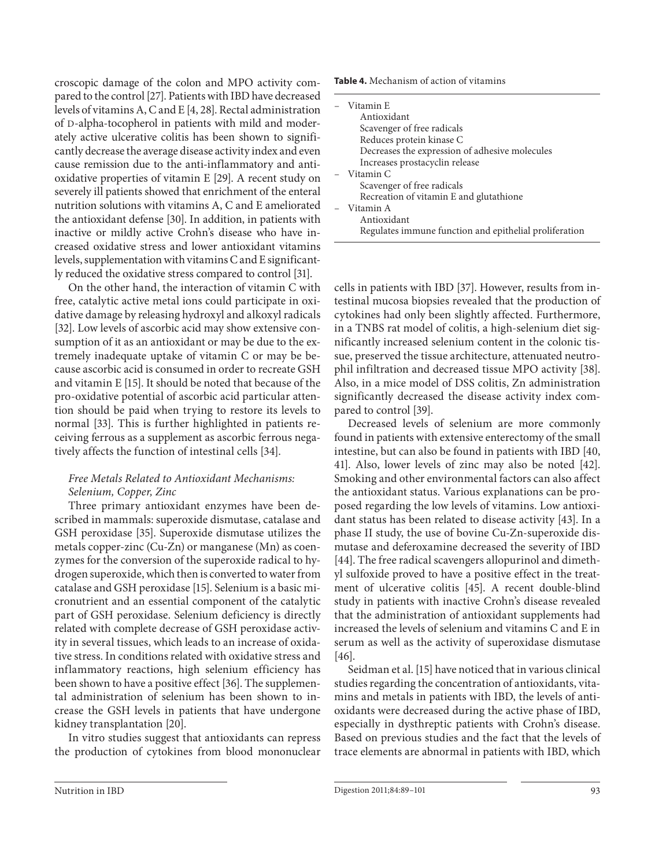croscopic damage of the colon and MPO activity compared to the control [27]. Patients with IBD have decreased levels of vitamins A, C and E [4, 28] . Rectal administration of D-alpha-tocopherol in patients with mild and moderately active ulcerative colitis has been shown to significantly decrease the average disease activity index and even cause remission due to the anti-inflammatory and antioxidative properties of vitamin E [29]. A recent study on severely ill patients showed that enrichment of the enteral nutrition solutions with vitamins A, C and E ameliorated the antioxidant defense [30]. In addition, in patients with inactive or mildly active Crohn's disease who have increased oxidative stress and lower antioxidant vitamins levels, supplementation with vitamins C and E significantly reduced the oxidative stress compared to control [31] .

 On the other hand, the interaction of vitamin C with free, catalytic active metal ions could participate in oxidative damage by releasing hydroxyl and alkoxyl radicals [32]. Low levels of ascorbic acid may show extensive consumption of it as an antioxidant or may be due to the extremely inadequate uptake of vitamin C or may be because ascorbic acid is consumed in order to recreate GSH and vitamin E [15]. It should be noted that because of the pro-oxidative potential of ascorbic acid particular attention should be paid when trying to restore its levels to normal [33]. This is further highlighted in patients receiving ferrous as a supplement as ascorbic ferrous negatively affects the function of intestinal cells [34] .

# *Free Metals Related to Antioxidant Mechanisms: Selenium, Copper, Zinc*

 Three primary antioxidant enzymes have been described in mammals: superoxide dismutase, catalase and GSH peroxidase [35]. Superoxide dismutase utilizes the metals copper-zinc (Cu-Zn) or manganese (Mn) as coenzymes for the conversion of the superoxide radical to hydrogen superoxide, which then is converted to water from catalase and GSH peroxidase [15] . Selenium is a basic micronutrient and an essential component of the catalytic part of GSH peroxidase. Selenium deficiency is directly related with complete decrease of GSH peroxidase activity in several tissues, which leads to an increase of oxidative stress. In conditions related with oxidative stress and inflammatory reactions, high selenium efficiency has been shown to have a positive effect [36]. The supplemental administration of selenium has been shown to increase the GSH levels in patients that have undergone kidney transplantation [20].

 In vitro studies suggest that antioxidants can repress the production of cytokines from blood mononuclear Table 4. Mechanism of action of vitamins

| Vitamin E                                              |
|--------------------------------------------------------|
| Antioxidant                                            |
| Scavenger of free radicals                             |
| Reduces protein kinase C                               |
| Decreases the expression of adhesive molecules         |
| Increases prostacyclin release                         |
| $-$ Vitamin C                                          |
| Scavenger of free radicals                             |
| Recreation of vitamin E and glutathione                |
| - Vitamin A                                            |
| Antioxidant                                            |
| Regulates immune function and epithelial proliferation |
|                                                        |

cells in patients with IBD [37] . However, results from intestinal mucosa biopsies revealed that the production of cytokines had only been slightly affected. Furthermore, in a TNBS rat model of colitis, a high-selenium diet significantly increased selenium content in the colonic tissue, preserved the tissue architecture, attenuated neutrophil infiltration and decreased tissue MPO activity [38] . Also, in a mice model of DSS colitis, Zn administration significantly decreased the disease activity index compared to control [39].

 Decreased levels of selenium are more commonly found in patients with extensive enterectomy of the small intestine, but can also be found in patients with IBD [40, 41]. Also, lower levels of zinc may also be noted [42]. Smoking and other environmental factors can also affect the antioxidant status. Various explanations can be proposed regarding the low levels of vitamins. Low antioxidant status has been related to disease activity [43]. In a phase II study, the use of bovine Cu-Zn-superoxide dismutase and deferoxamine decreased the severity of IBD [44]. The free radical scavengers allopurinol and dimethyl sulfoxide proved to have a positive effect in the treatment of ulcerative colitis [45]. A recent double-blind study in patients with inactive Crohn's disease revealed that the administration of antioxidant supplements had increased the levels of selenium and vitamins C and E in serum as well as the activity of superoxidase dismutase  $[46]$ .

 Seidman et al.[15] have noticed that in various clinical studies regarding the concentration of antioxidants, vitamins and metals in patients with IBD, the levels of antioxidants were decreased during the active phase of IBD, especially in dysthreptic patients with Crohn's disease. Based on previous studies and the fact that the levels of trace elements are abnormal in patients with IBD, which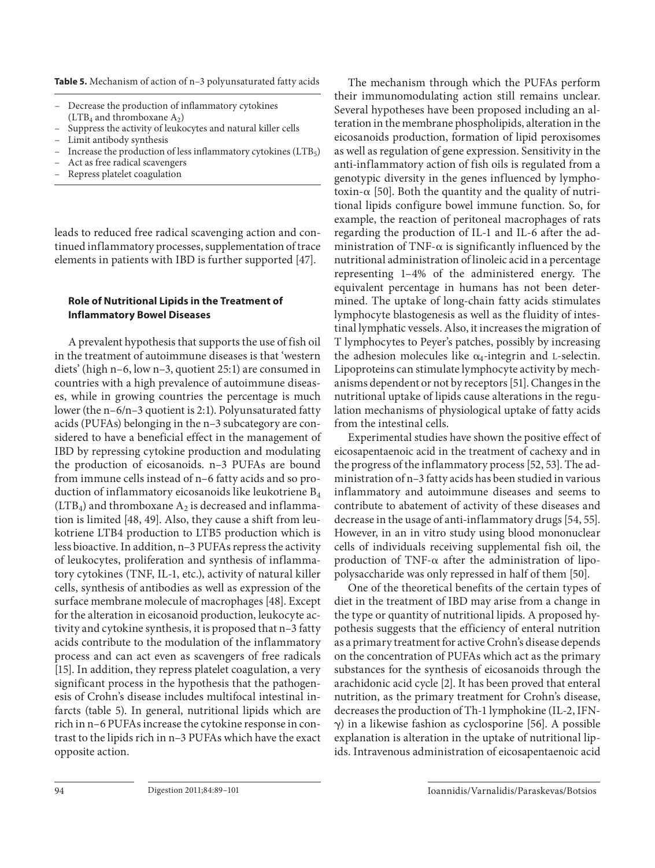Table 5. Mechanism of action of n-3 polyunsaturated fatty acids

- Decrease the production of inflammatory cytokines
- ( $LTB<sub>4</sub>$  and thromboxane  $A<sub>2</sub>$ )
- Suppress the activity of leukocytes and natural killer cells
- Limit antibody synthesis
- Increase the production of less inflammatory cytokines (LTB<sub>5</sub>)
- Act as free radical scavengers
- Repress platelet coagulation

leads to reduced free radical scavenging action and continued inflammatory processes, supplementation of trace elements in patients with IBD is further supported [47] .

### **Role of Nutritional Lipids in the Treatment of Inflammatory Bowel Diseases**

 A prevalent hypothesis that supports the use of fish oil in the treatment of autoimmune diseases is that 'western diets' (high n–6, low n–3, quotient 25:1) are consumed in countries with a high prevalence of autoimmune diseases, while in growing countries the percentage is much lower (the n–6/n–3 quotient is 2:1). Polyunsaturated fatty acids (PUFAs) belonging in the n–3 subcategory are considered to have a beneficial effect in the management of IBD by repressing cytokine production and modulating the production of eicosanoids. n–3 PUFAs are bound from immune cells instead of n–6 fatty acids and so production of inflammatory eicosanoids like leukotriene  $B_4$  $(LTB<sub>4</sub>)$  and thromboxane  $A<sub>2</sub>$  is decreased and inflammation is limited [48, 49]. Also, they cause a shift from leukotriene LTB4 production to LTB5 production which is less bioactive. In addition, n–3 PUFAs repress the activity of leukocytes, proliferation and synthesis of inflammatory cytokines (TNF, IL-1, etc.), activity of natural killer cells, synthesis of antibodies as well as expression of the surface membrane molecule of macrophages [48] . Except for the alteration in eicosanoid production, leukocyte activity and cytokine synthesis, it is proposed that n–3 fatty acids contribute to the modulation of the inflammatory process and can act even as scavengers of free radicals [15]. In addition, they repress platelet coagulation, a very significant process in the hypothesis that the pathogenesis of Crohn's disease includes multifocal intestinal infarcts (table 5). In general, nutritional lipids which are rich in n–6 PUFAs increase the cytokine response in contrast to the lipids rich in n–3 PUFAs which have the exact opposite action.

 The mechanism through which the PUFAs perform their immunomodulating action still remains unclear. Several hypotheses have been proposed including an alteration in the membrane phospholipids, alteration in the eicosanoids production, formation of lipid peroxisomes as well as regulation of gene expression. Sensitivity in the anti-inflammatory action of fish oils is regulated from a genotypic diversity in the genes influenced by lymphotoxin- $\alpha$  [50]. Both the quantity and the quality of nutritional lipids configure bowel immune function. So, for example, the reaction of peritoneal macrophages of rats regarding the production of IL-1 and IL-6 after the administration of TNF- $\alpha$  is significantly influenced by the nutritional administration of linoleic acid in a percentage representing 1–4% of the administered energy. The equivalent percentage in humans has not been determined. The uptake of long-chain fatty acids stimulates lymphocyte blastogenesis as well as the fluidity of intestinal lymphatic vessels. Also, it increases the migration of T lymphocytes to Peyer's patches, possibly by increasing the adhesion molecules like  $\alpha_4$ -integrin and L-selectin. Lipoproteins can stimulate lymphocyte activity by mechanisms dependent or not by receptors [51] . Changes in the nutritional uptake of lipids cause alterations in the regulation mechanisms of physiological uptake of fatty acids from the intestinal cells.

 Experimental studies have shown the positive effect of eicosapentaenoic acid in the treatment of cachexy and in the progress of the inflammatory process [52, 53] . The administration of n–3 fatty acids has been studied in various inflammatory and autoimmune diseases and seems to contribute to abatement of activity of these diseases and decrease in the usage of anti-inflammatory drugs [54, 55] . However, in an in vitro study using blood mononuclear cells of individuals receiving supplemental fish oil, the production of TNF- $\alpha$  after the administration of lipopolysaccharide was only repressed in half of them [50] .

 One of the theoretical benefits of the certain types of diet in the treatment of IBD may arise from a change in the type or quantity of nutritional lipids. A proposed hypothesis suggests that the efficiency of enteral nutrition as a primary treatment for active Crohn's disease depends on the concentration of PUFAs which act as the primary substances for the synthesis of eicosanoids through the arachidonic acid cycle [2]. It has been proved that enteral nutrition, as the primary treatment for Crohn's disease, decreases the production of Th-1 lymphokine (IL-2, IFN-  $\gamma$ ) in a likewise fashion as cyclosporine [56]. A possible explanation is alteration in the uptake of nutritional lipids. Intravenous administration of eicosapentaenoic acid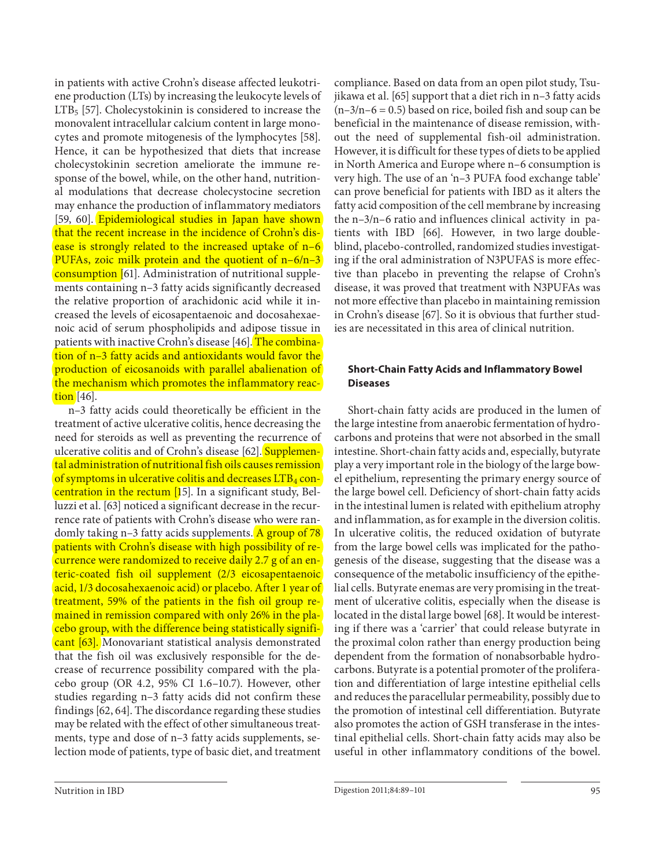in patients with active Crohn's disease affected leukotriene production (LTs) by increasing the leukocyte levels of  $LTB<sub>5</sub>$  [57]. Cholecystokinin is considered to increase the monovalent intracellular calcium content in large monocytes and promote mitogenesis of the lymphocytes [58] . Hence, it can be hypothesized that diets that increase cholecystokinin secretion ameliorate the immune response of the bowel, while, on the other hand, nutritional modulations that decrease cholecystocine secretion may enhance the production of inflammatory mediators [59, 60]. Epidemiological studies in Japan have shown that the recent increase in the incidence of Crohn's disease is strongly related to the increased uptake of n–6 PUFAs, zoic milk protein and the quotient of n–6/n–3 consumption [61]. Administration of nutritional supplements containing n–3 fatty acids significantly decreased the relative proportion of arachidonic acid while it increased the levels of eicosapentaenoic and docosahexaenoic acid of serum phospholipids and adipose tissue in patients with inactive Crohn's disease [46]. The combination of n–3 fatty acids and antioxidants would favor the production of eicosanoids with parallel abalienation of the mechanism which promotes the inflammatory reaction  $[46]$ .

 n–3 fatty acids could theoretically be efficient in the treatment of active ulcerative colitis, hence decreasing the need for steroids as well as preventing the recurrence of ulcerative colitis and of Crohn's disease [62]. Supplemental administration of nutritional fish oils causes remission of symptoms in ulcerative colitis and decreases  $LTB<sub>4</sub>$  concentration in the rectum  $[15]$ . In a significant study, Belluzzi et al.[63] noticed a significant decrease in the recurrence rate of patients with Crohn's disease who were randomly taking n-3 fatty acids supplements. A group of 78 patients with Crohn's disease with high possibility of recurrence were randomized to receive daily 2.7 g of an enteric-coated fish oil supplement (2/3 eicosapentaenoic acid, 1/3 docosahexaenoic acid) or placebo. After 1 year of treatment, 59% of the patients in the fish oil group remained in remission compared with only 26% in the placebo group, with the difference being statistically significant [63]. Monovariant statistical analysis demonstrated that the fish oil was exclusively responsible for the decrease of recurrence possibility compared with the placebo group (OR 4.2, 95% CI 1.6–10.7). However, other studies regarding n–3 fatty acids did not confirm these findings [62, 64]. The discordance regarding these studies may be related with the effect of other simultaneous treatments, type and dose of n–3 fatty acids supplements, selection mode of patients, type of basic diet, and treatment

compliance. Based on data from an open pilot study, Tsujikawa et al. [65] support that a diet rich in n–3 fatty acids  $(n-3/n-6 = 0.5)$  based on rice, boiled fish and soup can be beneficial in the maintenance of disease remission, without the need of supplemental fish-oil administration. However, it is difficult for these types of diets to be applied in North America and Europe where n–6 consumption is very high. The use of an 'n–3 PUFA food exchange table' can prove beneficial for patients with IBD as it alters the fatty acid composition of the cell membrane by increasing the n–3/n–6 ratio and influences clinical activity in patients with IBD [66]. However, in two large doubleblind, placebo-controlled, randomized studies investigating if the oral administration of N3PUFAS is more effective than placebo in preventing the relapse of Crohn's disease, it was proved that treatment with N3PUFAs was not more effective than placebo in maintaining remission in Crohn's disease [67]. So it is obvious that further studies are necessitated in this area of clinical nutrition.

# **Short-Chain Fatty Acids and Inflammatory Bowel Diseases**

 Short-chain fatty acids are produced in the lumen of the large intestine from anaerobic fermentation of hydrocarbons and proteins that were not absorbed in the small intestine. Short-chain fatty acids and, especially, butyrate play a very important role in the biology of the large bowel epithelium, representing the primary energy source of the large bowel cell. Deficiency of short-chain fatty acids in the intestinal lumen is related with epithelium atrophy and inflammation, as for example in the diversion colitis. In ulcerative colitis, the reduced oxidation of butyrate from the large bowel cells was implicated for the pathogenesis of the disease, suggesting that the disease was a consequence of the metabolic insufficiency of the epithelial cells. Butyrate enemas are very promising in the treatment of ulcerative colitis, especially when the disease is located in the distal large bowel [68]. It would be interesting if there was a 'carrier' that could release butyrate in the proximal colon rather than energy production being dependent from the formation of nonabsorbable hydrocarbons. Butyrate is a potential promoter of the proliferation and differentiation of large intestine epithelial cells and reduces the paracellular permeability, possibly due to the promotion of intestinal cell differentiation. Butyrate also promotes the action of GSH transferase in the intestinal epithelial cells. Short-chain fatty acids may also be useful in other inflammatory conditions of the bowel.

Nutrition in IBD Digestion 2011;84:89–101 95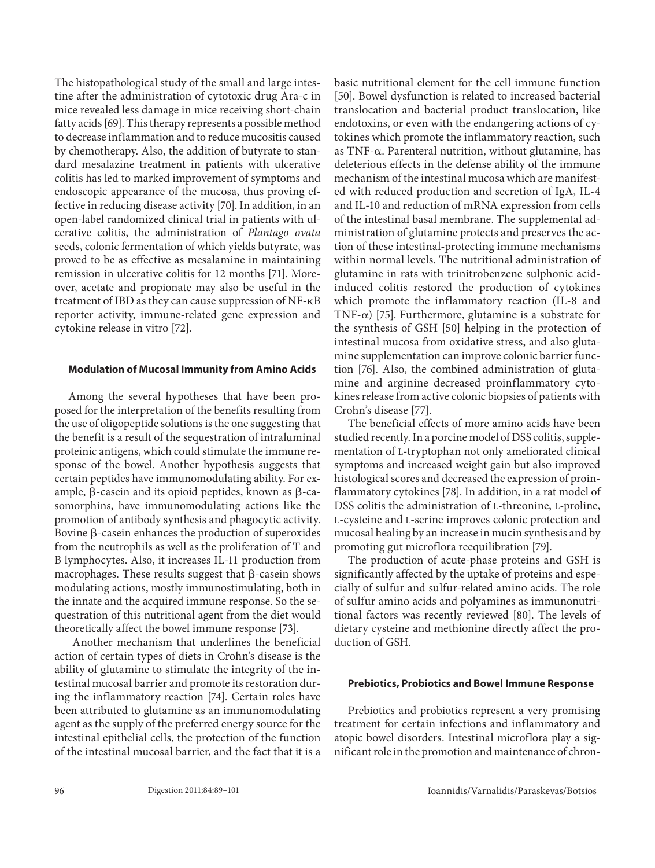The histopathological study of the small and large intestine after the administration of cytotoxic drug Ara-c in mice revealed less damage in mice receiving short-chain fatty acids [69]. This therapy represents a possible method to decrease inflammation and to reduce mucositis caused by chemotherapy. Also, the addition of butyrate to standard mesalazine treatment in patients with ulcerative colitis has led to marked improvement of symptoms and endoscopic appearance of the mucosa, thus proving effective in reducing disease activity [70]. In addition, in an open-label randomized clinical trial in patients with ulcerative colitis, the administration of *Plantago ovata* seeds, colonic fermentation of which yields butyrate, was proved to be as effective as mesalamine in maintaining remission in ulcerative colitis for 12 months [71]. Moreover, acetate and propionate may also be useful in the treatment of IBD as they can cause suppression of  $NF$ - $\kappa$ B reporter activity, immune-related gene expression and cytokine release in vitro [72] .

### **Modulation of Mucosal Immunity from Amino Acids**

 Among the several hypotheses that have been proposed for the interpretation of the benefits resulting from the use of oligopeptide solutions is the one suggesting that the benefit is a result of the sequestration of intraluminal proteinic antigens, which could stimulate the immune response of the bowel. Another hypothesis suggests that certain peptides have immunomodulating ability. For example,  $\beta$ -casein and its opioid peptides, known as  $\beta$ -casomorphins, have immunomodulating actions like the promotion of antibody synthesis and phagocytic activity. Bovine  $\beta$ -casein enhances the production of superoxides from the neutrophils as well as the proliferation of T and B lymphocytes. Also, it increases IL-11 production from  $macrophages.$  These results suggest that  $\beta$ -casein shows modulating actions, mostly immunostimulating, both in the innate and the acquired immune response. So the sequestration of this nutritional agent from the diet would theoretically affect the bowel immune response [73] .

 Another mechanism that underlines the beneficial action of certain types of diets in Crohn's disease is the ability of glutamine to stimulate the integrity of the intestinal mucosal barrier and promote its restoration during the inflammatory reaction [74]. Certain roles have been attributed to glutamine as an immunomodulating agent as the supply of the preferred energy source for the intestinal epithelial cells, the protection of the function of the intestinal mucosal barrier, and the fact that it is a

basic nutritional element for the cell immune function [50]. Bowel dysfunction is related to increased bacterial translocation and bacterial product translocation, like endotoxins, or even with the endangering actions of cytokines which promote the inflammatory reaction, such as TNF- $\alpha$ . Parenteral nutrition, without glutamine, has deleterious effects in the defense ability of the immune mechanism of the intestinal mucosa which are manifested with reduced production and secretion of IgA, IL-4 and IL-10 and reduction of mRNA expression from cells of the intestinal basal membrane. The supplemental administration of glutamine protects and preserves the action of these intestinal-protecting immune mechanisms within normal levels. The nutritional administration of glutamine in rats with trinitrobenzene sulphonic acidinduced colitis restored the production of cytokines which promote the inflammatory reaction (IL-8 and TNF- $\alpha$ ) [75]. Furthermore, glutamine is a substrate for the synthesis of GSH [50] helping in the protection of intestinal mucosa from oxidative stress, and also glutamine supplementation can improve colonic barrier function [76]. Also, the combined administration of glutamine and arginine decreased proinflammatory cytokines release from active colonic biopsies of patients with Crohn's disease [77].

 The beneficial effects of more amino acids have been studied recently. In a porcine model of DSS colitis, supplementation of L -tryptophan not only ameliorated clinical symptoms and increased weight gain but also improved histological scores and decreased the expression of proinflammatory cytokines [78]. In addition, in a rat model of DSS colitis the administration of L-threonine, L-proline, L-cysteine and L-serine improves colonic protection and mucosal healing by an increase in mucin synthesis and by promoting gut microflora reequilibration [79].

 The production of acute-phase proteins and GSH is significantly affected by the uptake of proteins and especially of sulfur and sulfur-related amino acids. The role of sulfur amino acids and polyamines as immunonutritional factors was recently reviewed [80]. The levels of dietary cysteine and methionine directly affect the production of GSH.

#### **Prebiotics, Probiotics and Bowel Immune Response**

 Prebiotics and probiotics represent a very promising treatment for certain infections and inflammatory and atopic bowel disorders. Intestinal microflora play a significant role in the promotion and maintenance of chron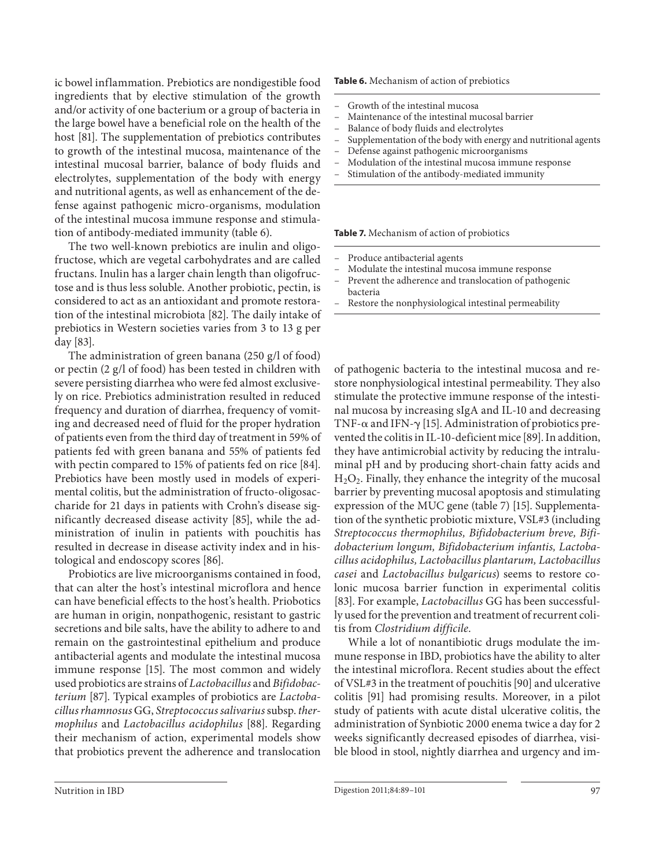ic bowel inflammation. Prebiotics are nondigestible food ingredients that by elective stimulation of the growth and/or activity of one bacterium or a group of bacteria in the large bowel have a beneficial role on the health of the host [81]. The supplementation of prebiotics contributes to growth of the intestinal mucosa, maintenance of the intestinal mucosal barrier, balance of body fluids and electrolytes, supplementation of the body with energy and nutritional agents, as well as enhancement of the defense against pathogenic micro-organisms, modulation of the intestinal mucosa immune response and stimulation of antibody-mediated immunity (table 6).

 The two well-known prebiotics are inulin and oligofructose, which are vegetal carbohydrates and are called fructans. Inulin has a larger chain length than oligofructose and is thus less soluble. Another probiotic, pectin, is considered to act as an antioxidant and promote restoration of the intestinal microbiota [82] . The daily intake of prebiotics in Western societies varies from 3 to 13 g per day [83].

 The administration of green banana (250 g/l of food) or pectin (2 g/l of food) has been tested in children with severe persisting diarrhea who were fed almost exclusively on rice. Prebiotics administration resulted in reduced frequency and duration of diarrhea, frequency of vomiting and decreased need of fluid for the proper hydration of patients even from the third day of treatment in 59% of patients fed with green banana and 55% of patients fed with pectin compared to 15% of patients fed on rice [84] . Prebiotics have been mostly used in models of experimental colitis, but the administration of fructo-oligosaccharide for 21 days in patients with Crohn's disease significantly decreased disease activity [85], while the administration of inulin in patients with pouchitis has resulted in decrease in disease activity index and in histological and endoscopy scores [86] .

 Probiotics are live microorganisms contained in food, that can alter the host's intestinal microflora and hence can have beneficial effects to the host's health. Priobotics are human in origin, nonpathogenic, resistant to gastric secretions and bile salts, have the ability to adhere to and remain on the gastrointestinal epithelium and produce antibacterial agents and modulate the intestinal mucosa immune response [15]. The most common and widely used probiotics are strains of *Lactobacillus* and *Bifidobacterium* [87] . Typical examples of probiotics are *Lactobacillus rhamnosus* GG, *Streptococcus salivarius* subsp. *thermophilus* and *Lactobacillus acidophilus* [88] . Regarding their mechanism of action, experimental models show that probiotics prevent the adherence and translocation Table 6. Mechanism of action of prebiotics

- Growth of the intestinal mucosa
- Maintenance of the intestinal mucosal barrier
- Balance of body fluids and electrolytes
- Supplementation of the body with energy and nutritional agents
- Defense against pathogenic microorganisms
- Modulation of the intestinal mucosa immune response
- Stimulation of the antibody-mediated immunity

Table 7. Mechanism of action of probiotics

- Produce antibacterial agents
- Modulate the intestinal mucosa immune response
- Prevent the adherence and translocation of pathogenic bacteria
- Restore the nonphysiological intestinal permeability

of pathogenic bacteria to the intestinal mucosa and restore nonphysiological intestinal permeability. They also stimulate the protective immune response of the intestinal mucosa by increasing sIgA and IL-10 and decreasing TNF- $\alpha$  and IFN- $\gamma$  [15]. Administration of probiotics prevented the colitis in IL-10-deficient mice [89] . In addition, they have antimicrobial activity by reducing the intraluminal pH and by producing short-chain fatty acids and  $H<sub>2</sub>O<sub>2</sub>$ . Finally, they enhance the integrity of the mucosal barrier by preventing mucosal apoptosis and stimulating expression of the MUC gene (table 7) [15]. Supplementation of the synthetic probiotic mixture, VSL#3 (including *Streptococcus thermophilus, Bifidobacterium breve, Bifidobacterium longum, Bifidobacterium infantis, Lactobacillus acidophilus, Lactobacillus plantarum, Lactobacillus casei* and *Lactobacillus bulgaricus* ) seems to restore colonic mucosa barrier function in experimental colitis [83]. For example, *Lactobacillus* GG has been successfully used for the prevention and treatment of recurrent colitis from *Clostridium difficile* .

 While a lot of nonantibiotic drugs modulate the immune response in IBD, probiotics have the ability to alter the intestinal microflora. Recent studies about the effect of VSL#3 in the treatment of pouchitis [90] and ulcerative colitis [91] had promising results. Moreover, in a pilot study of patients with acute distal ulcerative colitis, the administration of Synbiotic 2000 enema twice a day for 2 weeks significantly decreased episodes of diarrhea, visible blood in stool, nightly diarrhea and urgency and im-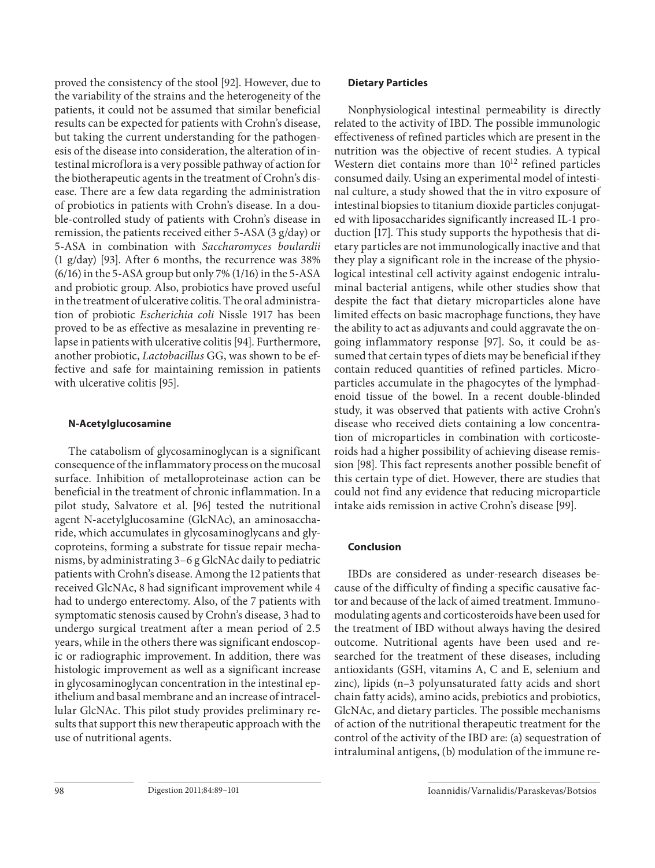proved the consistency of the stool [92] . However, due to the variability of the strains and the heterogeneity of the patients, it could not be assumed that similar beneficial results can be expected for patients with Crohn's disease, but taking the current understanding for the pathogenesis of the disease into consideration, the alteration of intestinal microflora is a very possible pathway of action for the biotherapeutic agents in the treatment of Crohn's disease. There are a few data regarding the administration of probiotics in patients with Crohn's disease. In a double-controlled study of patients with Crohn's disease in remission, the patients received either 5-ASA (3 g/day) or 5-ASA in combination with *Saccharomyces boulardii* (1 g/day) [93]. After 6 months, the recurrence was  $38\%$ (6/16) in the 5-ASA group but only 7% (1/16) in the 5-ASA and probiotic group. Also, probiotics have proved useful in the treatment of ulcerative colitis. The oral administration of probiotic *Escherichia coli* Nissle 1917 has been proved to be as effective as mesalazine in preventing relapse in patients with ulcerative colitis [94]. Furthermore, another probiotic, *Lactobacillus* GG, was shown to be effective and safe for maintaining remission in patients with ulcerative colitis [95].

# **N-Acetylglucosamine**

 The catabolism of glycosaminoglycan is a significant consequence of the inflammatory process on the mucosal surface. Inhibition of metalloproteinase action can be beneficial in the treatment of chronic inflammation. In a pilot study, Salvatore et al. [96] tested the nutritional agent N-acetylglucosamine (GlcNAc), an aminosaccharide, which accumulates in glycosaminoglycans and glycoproteins, forming a substrate for tissue repair mechanisms, by administrating 3–6 g GlcNAc daily to pediatric patients with Crohn's disease. Among the 12 patients that received GlcNAc, 8 had significant improvement while 4 had to undergo enterectomy. Also, of the 7 patients with symptomatic stenosis caused by Crohn's disease, 3 had to undergo surgical treatment after a mean period of 2.5 years, while in the others there was significant endoscopic or radiographic improvement. In addition, there was histologic improvement as well as a significant increase in glycosaminoglycan concentration in the intestinal epithelium and basal membrane and an increase of intracellular GlcNAc. This pilot study provides preliminary results that support this new therapeutic approach with the use of nutritional agents.

## **Dietary Particles**

 Nonphysiological intestinal permeability is directly related to the activity of IBD. The possible immunologic effectiveness of refined particles which are present in the nutrition was the objective of recent studies. A typical Western diet contains more than  $10^{12}$  refined particles consumed daily. Using an experimental model of intestinal culture, a study showed that the in vitro exposure of intestinal biopsies to titanium dioxide particles conjugated with liposaccharides significantly increased IL-1 production [17]. This study supports the hypothesis that dietary particles are not immunologically inactive and that they play a significant role in the increase of the physiological intestinal cell activity against endogenic intraluminal bacterial antigens, while other studies show that despite the fact that dietary microparticles alone have limited effects on basic macrophage functions, they have the ability to act as adjuvants and could aggravate the ongoing inflammatory response [97]. So, it could be assumed that certain types of diets may be beneficial if they contain reduced quantities of refined particles. Microparticles accumulate in the phagocytes of the lymphadenoid tissue of the bowel. In a recent double-blinded study, it was observed that patients with active Crohn's disease who received diets containing a low concentration of microparticles in combination with corticosteroids had a higher possibility of achieving disease remission [98]. This fact represents another possible benefit of this certain type of diet. However, there are studies that could not find any evidence that reducing microparticle intake aids remission in active Crohn's disease [99].

# **Conclusion**

 IBDs are considered as under-research diseases because of the difficulty of finding a specific causative factor and because of the lack of aimed treatment. Immunomodulating agents and corticosteroids have been used for the treatment of IBD without always having the desired outcome. Nutritional agents have been used and researched for the treatment of these diseases, including antioxidants (GSH, vitamins A, C and E, selenium and zinc), lipids (n–3 polyunsaturated fatty acids and short chain fatty acids), amino acids, prebiotics and probiotics, GlcNAc, and dietary particles. The possible mechanisms of action of the nutritional therapeutic treatment for the control of the activity of the IBD are: (a) sequestration of intraluminal antigens, (b) modulation of the immune re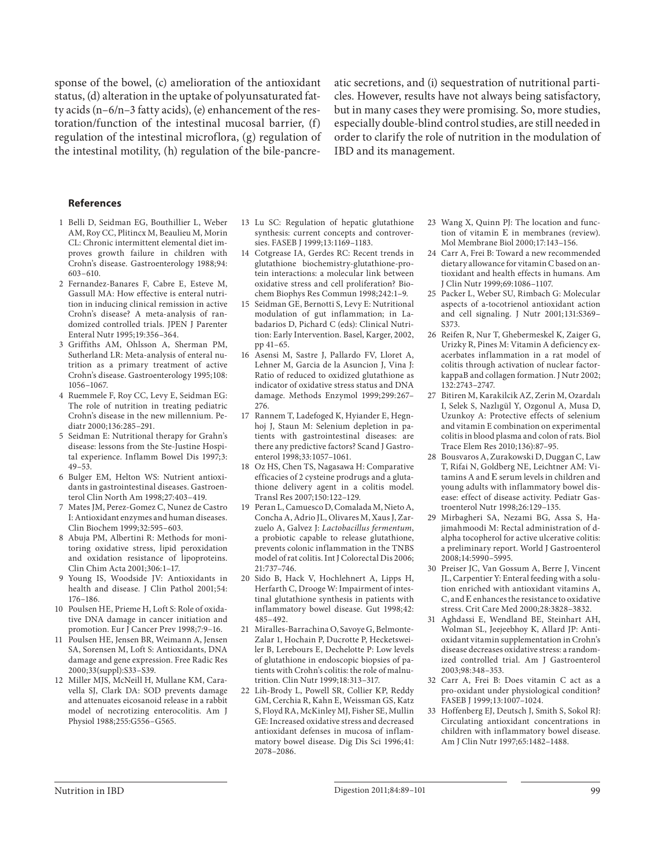sponse of the bowel, (c) amelioration of the antioxidant status, (d) alteration in the uptake of polyunsaturated fatty acids (n–6/n–3 fatty acids), (e) enhancement of the restoration/function of the intestinal mucosal barrier, (f) regulation of the intestinal microflora, (g) regulation of the intestinal motility, (h) regulation of the bile-pancreatic secretions, and (i) sequestration of nutritional particles. However, results have not always being satisfactory, but in many cases they were promising. So, more studies, especially double-blind control studies, are still needed in order to clarify the role of nutrition in the modulation of IBD and its management.

#### **References**

- 1 Belli D, Seidman EG, Bouthillier L, Weber AM, Roy CC, Plitincx M, Beaulieu M, Morin CL: Chronic intermittent elemental diet improves growth failure in children with Crohn's disease. Gastroenterology 1988;94: 603–610.
- 2 Fernandez-Banares F, Cabre E, Esteve M, Gassull MA: How effective is enteral nutrition in inducing clinical remission in active Crohn's disease? A meta-analysis of randomized controlled trials. JPEN J Parenter Enteral Nutr 1995;19:356–364.
- 3 Griffiths AM, Ohlsson A, Sherman PM, Sutherland LR: Meta-analysis of enteral nutrition as a primary treatment of active Crohn's disease. Gastroenterology 1995;108: 1056–1067.
- 4 Ruemmele F, Roy CC, Levy E, Seidman EG: The role of nutrition in treating pediatric Crohn's disease in the new millennium. Pediatr 2000;136:285–291.
- 5 Seidman E: Nutritional therapy for Grahn's disease: lessons from the Ste-Justine Hospital experience. Inflamm Bowel Dis 1997;3: 49–53.
- 6 Bulger EM, Helton WS: Nutrient antioxidants in gastrointestinal diseases. Gastroenterol Clin North Am 1998;27:403–419.
- 7 Mates JM, Perez-Gomez C, Nunez de Castro I: Antioxidant enzymes and human diseases. Clin Biochem 1999;32:595–603.
- 8 Abuja PM, Albertini R: Methods for monitoring oxidative stress, lipid peroxidation and oxidation resistance of lipoproteins. Clin Chim Acta 2001;306:1–17.
- 9 Young IS, Woodside JV: Antioxidants in health and disease. J Clin Pathol 2001;54: 176–186.
- 10 Poulsen HE, Prieme H, Loft S: Role of oxidative DNA damage in cancer initiation and promotion. Eur J Cancer Prev 1998;7:9–16.
- 11 Poulsen HE, Jensen BR, Weimann A, Jensen SA, Sorensen M, Loft S: Antioxidants, DNA damage and gene expression. Free Radic Res 2000;33(suppl):S33–S39.
- 12 Miller MJS, McNeill H, Mullane KM, Caravella SJ, Clark DA: SOD prevents damage and attenuates eicosanoid release in a rabbit model of necrotizing enterocolitis. Am J Physiol 1988;255:G556–G565.
- 13 Lu SC: Regulation of hepatic glutathione synthesis: current concepts and controversies. FASEB J 1999;13:1169–1183.
- 14 Cotgrease IA, Gerdes RC: Recent trends in glutathione biochemistry-glutathione-protein interactions: a molecular link between oxidative stress and cell proliferation? Biochem Biophys Res Commun 1998;242:1–9.
- 15 Seidman GE, Bernotti S, Levy E: Nutritional modulation of gut inflammation; in Labadarios D, Pichard C (eds): Clinical Nutrition: Early Intervention. Basel, Karger, 2002, pp 41–65.
- 16 Asensi M, Sastre J, Pallardo FV, Lloret A, Lehner M, Garcia de la Asuncion J, Vina J: Ratio of reduced to oxidized glutathione as indicator of oxidative stress status and DNA damage. Methods Enzymol 1999;299:267– 276.
- 17 Rannem T, Ladefoged K, Hyiander E, Hegnhoj J, Staun M: Selenium depletion in patients with gastrointestinal diseases: are there any predictive factors? Scand J Gastroenterol 1998;33:1057–1061.
- 18 Oz HS, Chen TS, Nagasawa H: Comparative efficacies of 2 cysteine prodrugs and a glutathione delivery agent in a colitis model. Transl Res 2007;150:122–129.
- 19 Peran L, Camuesco D, Comalada M, Nieto A, Concha A, Adrio JL, Olivares M, Xaus J, Zarzuelo A, Galvez J: *Lactobacillus fermentum*, a probiotic capable to release glutathione, prevents colonic inflammation in the TNBS model of rat colitis. Int J Colorectal Dis 2006; 21:737–746.
- 20 Sido B, Hack V, Hochlehnert A, Lipps H, Herfarth C, Drooge W: Impairment of intestinal glutathione synthesis in patients with inflammatory bowel disease. Gut 1998;42: 485–492.
- 21 Miralles-Barrachina O, Savoye G, Belmonte-Zalar 1, Hochain P, Ducrotte P, Hecketsweiler B, Lerebours E, Dechelotte P: Low levels of glutathione in endoscopic biopsies of patients with Crohn's colitis: the role of malnutrition. Clin Nutr 1999;18:313–317.
- 22 Lih-Brody L, Powell SR, Collier KP, Reddy GM, Cerchia R, Kahn E, Weissman GS, Katz S, Floyd RA, McKinley MJ, Fisher SE, Mullin GE: Increased oxidative stress and decreased antioxidant defenses in mucosa of inflammatory bowel disease. Dig Dis Sci 1996;41: 2078–2086.
- 23 Wang X, Quinn PJ: The location and function of vitamin  $E$  in membranes (review). Mol Membrane Biol 2000;17:143–156.
- 24 Carr A, Frei B: Toward a new recommended dietary allowance for vitamin C based on antioxidant and health effects in humans. Am J Clin Nutr 1999;69:1086–1107.
- 25 Packer L, Weber SU, Rimbach G: Molecular aspects of a-tocotrienol antioxidant action and cell signaling. J Nutr 2001;131:S369– S373.
- 26 Reifen R, Nur T, Ghebermeskel K, Zaiger G, Urizky R, Pines M: Vitamin A deficiency exacerbates inflammation in a rat model of colitis through activation of nuclear factorkappaB and collagen formation. J Nutr 2002; 132:2743–2747.
- 27 Bitiren M, Karakilcik AZ, Zerin M, Ozardalı I, Selek S, Nazlıgül Y, Ozgonul A, Musa D, Uzunkoy A: Protective effects of selenium and vitamin E combination on experimental colitis in blood plasma and colon of rats. Biol Trace Elem Res 2010;136):87–95.
- 28 Bousvaros A, Zurakowski D, Duggan C, Law T, Rifai N, Goldberg NE, Leichtner AM: Vitamins A and E serum levels in children and young adults with inflammatory bowel disease: effect of disease activity. Pediatr Gastroenterol Nutr 1998;26:129–135.
- 29 Mirbagheri SA, Nezami BG, Assa S, Hajimahmoodi M: Rectal administration of dalpha tocopherol for active ulcerative colitis: a preliminary report. World J Gastroenterol 2008;14:5990–5995.
- 30 Preiser JC, Van Gossum A, Berre J, Vincent JL, Carpentier Y: Enteral feeding with a solution enriched with antioxidant vitamins A, C, and E enhances the resistance to oxidative stress. Crit Care Med 2000;28:3828–3832.
- 31 Aghdassi E, Wendland BE, Steinhart AH, Wolman SL, Jeejeebhoy K, Allard JP: Antioxidant vitamin supplementation in Crohn's disease decreases oxidative stress: a randomized controlled trial. Am J Gastroenterol 2003;98:348–353.
- 32 Carr A, Frei B: Does vitamin C act as a pro-oxidant under physiological condition? FASEB J 1999;13:1007–1024.
- 33 Hoffenberg EJ, Deutsch J, Smith S, Sokol RJ: Circulating antioxidant concentrations in children with inflammatory bowel disease. Am J Clin Nutr 1997;65:1482–1488.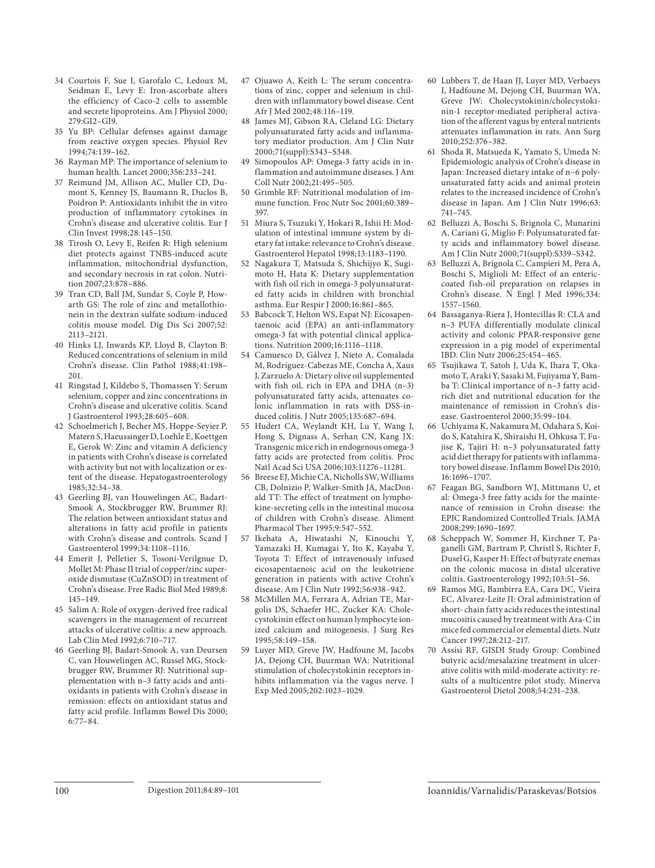- 34 Courtois F, Sue I, Garofalo C, Ledoux M, Seidman E, Levy E: Iron-ascorbate alters the efficiency of Caco-2 cells to assemble and secrete lipoproteins. Am J Physiol 2000; 279:GI2–GI9.
- 35 Yu BP: Cellular defenses against damage from reactive oxygen species. Physiol Rev 1994;74:139–162.
- 36 Rayman MP: The importance of selenium to human health. Lancet 2000;356:233–241.
- 37 Reimund JM, Allison AC, Muller CD, Dumont S, Kenney JS, Baumann R, Duclos B, Poidron P: Antioxidants inhibit the in vitro production of inflammatory cytokines in Crohn's disease and ulcerative colitis. Eur J Clin Invest 1998;28:145–150.
- 38 Tirosh O, Levy E, Reifen R: High selenium diet protects against TNBS-induced acute inflammation, mitochondrial dysfunction, and secondary necrosis in rat colon. Nutrition 2007;23:878–886.
- 39 Tran CD, Ball JM, Sundar S, Coyle P, Howarth GS: The role of zinc and metallothionein in the dextran sulfate sodium-induced colitis mouse model. Dig Dis Sci 2007;52: 2113–2121.
- 40 Hinks LJ, Inwards KP, Lloyd B, Clayton B: Reduced concentrations of selenium in mild Crohn's disease. Clin Pathol 1988;41:198– 201.
- 41 Ringstad J, Kildebo S, Thomassen Y: Serum selenium, copper and zinc concentrations in Crohn's disease and ulcerative colitis. Scand J Gastroenterol 1993;28:605–608.
- 42 Schoelmerich J, Becher MS, Hoppe-Seyier P, Matern S, Haeussinger D, Loehle E, Koettgen E, Gerok W: Zinc and vitamin A deficiency in patients with Crohn's disease is correlated with activity but not with localization or extent of the disease. Hepatogastroenterology 1985;32:34–38.
- 43 Geerling BJ, van Houwelingen AC, Badart-Smook A, Stockbrugger RW, Brummer RJ: The relation between antioxidant status and alterations in fatty acid profile in patients with Crohn's disease and controls. Scand J Gastroenterol 1999;34:1108–1116.
- 44 Emerit J, Pelletier S, Tosoni-Verilgnue D, Mollet M: Phase II trial of copper/zinc superoxide dismutase (CuZnSOD) in treatment of Crohn's disease. Free Radic Biol Med 1989;8: 145–149.
- 45 Salim A: Role of oxygen-derived free radical scavengers in the management of recurrent attacks of ulcerative colitis: a new approach. Lab Clin Med 1992;6:710–717.
- 46 Geerling BJ, Badart-Smook A, van Deursen C, van Houwelingen AC, Russel MG, Stockbrugger RW, Brummer RJ: Nutritional supplementation with n–3 fatty acids and antioxidants in patients with Crohn's disease in remission: effects on antioxidant status and fatty acid profile. Inflamm Bowel Dis 2000;  $6.77 - 84$
- 47 Ojuawo A, Keith L: The serum concentrations of zinc, copper and selenium in children with inflammatory bowel disease. Cent Afr J Med 2002;48:116–119.
- James MJ, Gibson RA, Cleland LG: Dietary polyunsaturated fatty acids and inflammatory mediator production. Am J Clin Nutr 2000;71(suppl):S343–S348.
- 49 Simopoulos AP: Omega-3 fatty acids in inflammation and autoimmune diseases. J Am Coll Nutr 2002;21:495–505.
- 50 Grimble RF: Nutritional modulation of immune function. Froc Nutr Soc 2001;60:389– 397.
- 51 Miura S, Tsuzuki Y, Hokari R, Ishii H: Modulation of intestinal immune system by dietary fat intake: relevance to Crohn's disease. Gastroenterol Hepatol 1998;13:1183–1190.
- 52 Nagakura T, Matsuda S, Shichijyo K, Sugimoto H, Hata K: Dietary supplementation with fish oil rich in omega-3 polyunsaturated fatty acids in children with bronchial asthma. Eur Respir J 2000;16:861–865.
- 53 Babcock T, Helton WS, Espat NJ: Eicosapentaenoic acid (EPA) an anti-inflammatory omega-3 fat with potential clinical applications. Nutrition 2000;16:1116–1118.
- 54 Camuesco D, Gálvez J, Nieto A, Comalada M, Rodríguez-Cabezas ME, Concha A, Xaus J, Zarzuelo A: Dietary olive oil supplemented with fish oil, rich in EPA and DHA (n–3) polyunsaturated fatty acids, attenuates colonic inflammation in rats with DSS-induced colitis. J Nutr 2005;135:687–694.
- 55 Hudert CA, Weylandt KH, Lu Y, Wang J, Hong S, Dignass A, Serhan CN, Kang JX: Transgenic mice rich in endogenous omega-3 fatty acids are protected from colitis. Proc Natl Acad Sci USA 2006;103:11276–11281.
- 56 Breese EJ, Michie CA, Nicholls SW, Williams CB, Dolnizio P, Walker-Smith JA, MacDonald TT: The effect of treatment on lymphokine-secreting cells in the intestinal mucosa of children with Crohn's disease. Aliment Pharmacol Ther 1995;9:547–552.
- 57 Ikehata A, Hiwatashi N, Kinouchi Y, Yamazaki H, Kumagai Y, Ito K, Kayaba Y, Toyota T: Effect of intravenously infused eicosapentaenoic acid on the leukotriene generation in patients with active Crohn's disease. Am J Clin Nutr 1992;56:938–942.
- 58 McMillen MA, Ferrara A, Adrian TE, Margolis DS, Schaefer HC, Zucker KA: Cholecystokinin effect on human lymphocyte ionized calcium and mitogenesis. J Surg Res 1995;58:149–158.
- 59 Luyer MD, Greve JW, Hadfoune M, Jacobs JA, Dejong CH, Buurman WA: Nutritional stimulation of cholecystokinin receptors inhibits inflammation via the vagus nerve. J Exp Med 2005;202:1023–1029.
- 60 Lubbers T, de Haan JJ, Luyer MD, Verbaeys I, Hadfoune M, Dejong CH, Buurman WA, Greve JW: Cholecystokinin/cholecystokinin-1 receptor-mediated peripheral activation of the afferent vagus by enteral nutrients attenuates inflammation in rats. Ann Surg 2010;252:376–382.
- 61 Shoda R, Matsueda K, Yamato S, Umeda N: Epidemiologic analysis of Crohn's disease in Japan: Increased dietary intake of n–6 polyunsaturated fatty acids and animal protein relates to the increased incidence of Crohn's disease in Japan. Am J Clin Nutr 1996;63: 741–745.
- 62 Belluzzi A, Boschi S, Brignola C, Munarini A, Cariani G, Miglio F: Polyunsaturated fatty acids and inflammatory bowel disease. Am J Clin Nutr 2000;71(suppl):S339–S342.
- 63 Belluzzi A, Brignola C, Campieri M, Pera A, Boschi S, Miglioli M: Effect of an entericcoated fish-oil preparation on relapses in Crohn's disease. N Engl J Med 1996;334: 1557–1560.
- 64 Bassaganya-Riera J, Hontecillas R: CLA and n–3 PUFA differentially modulate clinical activity and colonic PPAR-responsive gene expression in a pig model of experimental IBD. Clin Nutr 2006;25:454–465.
- 65 Tsujikawa T, Satoh J, Uda K, Ihara T, Okamoto T, Araki Y, Sasaki M, Fujiyama Y, Bamba T: Clinical importance of n–3 fatty acidrich diet and nutritional education for the maintenance of remission in Crohn's disease. Gastroenterol 2000;35:99–104.
- 66 Uchiyama K, Nakamura M, Odahara S, Koido S, Katahira K, Shiraishi H, Ohkusa T, Fujise K, Tajiri H: n–3 polyunsaturated fatty acid diet therapy for patients with inflammatory bowel disease. Inflamm Bowel Dis 2010; 16:1696–1707.
- 67 Feagan BG, Sandborn WJ, Mittmann U, et al: Omega-3 free fatty acids for the maintenance of remission in Crohn disease: the EPIC Randomized Controlled Trials. JAMA 2008;299:1690–1697.
- 68 Scheppach W, Sommer H, Kirchner T, Paganelli GM, Bartram P, Christl S, Richter F, Dusel G, Kasper H: Effect of butyrate enemas on the colonic mucosa in distal ulcerative colitis. Gastroenterology 1992;103:51–56.
- 69 Ramos MG, Bambirra EA, Cara DC, Vieira EC, Alvarez-Leite JI: Oral administration of short- chain fatty acids reduces the intestinal mucositis caused by treatment with Ara-C in mice fed commercial or elemental diets. Nutr Cancer 1997;28:212–217.
- 70 Assisi RF, GISDI Study Group: Combined butyric acid/mesalazine treatment in ulcerative colitis with mild-moderate activity: results of a multicentre pilot study. Minerva Gastroenterol Dietol 2008;54:231–238.